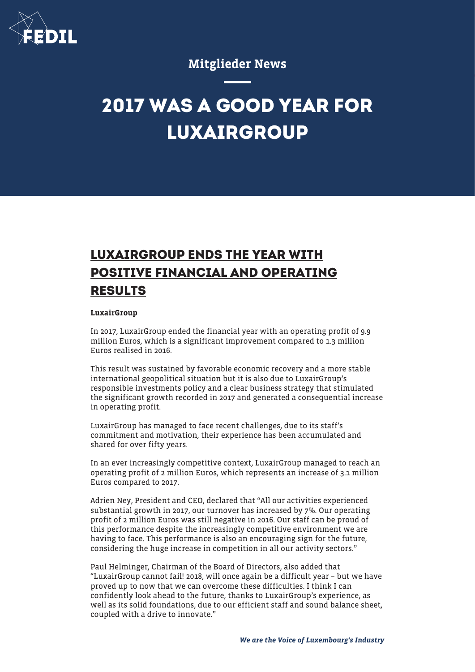

### Mitglieder News

# **2017 WAS A GOOD YEAR FOR LUXAIRGROUP**

## **LUXAIRGROUP ENDS THE YEAR WITH POSITIVE FINANCIAL AND OPERATING RESULTS**

#### **LuxairGroup**

In 2017, LuxairGroup ended the financial year with an operating profit of 9.9 million Euros, which is a significant improvement compared to 1.3 million Euros realised in 2016.

This result was sustained by favorable economic recovery and a more stable international geopolitical situation but it is also due to LuxairGroup's responsible investments policy and a clear business strategy that stimulated the significant growth recorded in 2017 and generated a consequential increase in operating profit.

LuxairGroup has managed to face recent challenges, due to its staff's commitment and motivation, their experience has been accumulated and shared for over fifty years.

In an ever increasingly competitive context, LuxairGroup managed to reach an operating profit of 2 million Euros, which represents an increase of 3.1 million Euros compared to 2017.

Adrien Ney, President and CEO, declared that "All our activities experienced substantial growth in 2017, our turnover has increased by 7%. Our operating profit of 2 million Euros was still negative in 2016. Our staff can be proud of this performance despite the increasingly competitive environment we are having to face. This performance is also an encouraging sign for the future, considering the huge increase in competition in all our activity sectors."

Paul Helminger, Chairman of the Board of Directors, also added that "LuxairGroup cannot fail! 2018, will once again be a difficult year – but we have proved up to now that we can overcome these difficulties. I think I can confidently look ahead to the future, thanks to LuxairGroup's experience, as well as its solid foundations, due to our efficient staff and sound balance sheet, coupled with a drive to innovate."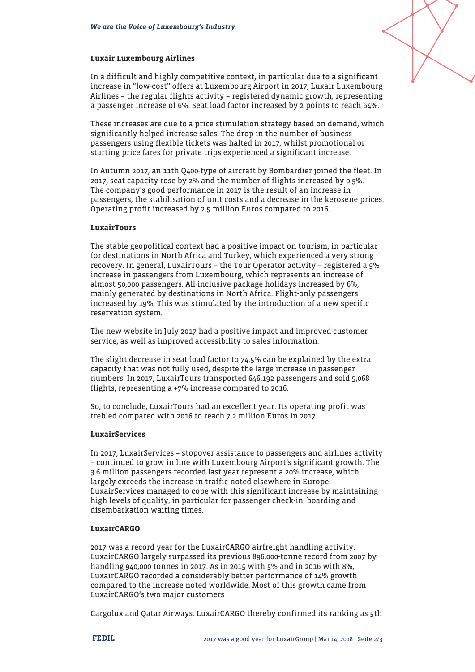#### Luxair Luxembourg Airlines

In a difficult and highly competitive context, in particular due to a significant increase in "low-cost" offers at Luxembourg Airport in 2017, Luxair Luxembourg Airlines – the regular flights activity – registered dynamic growth, representing a passenger increase of 6%. Seat load factor increased by 2 points to reach 64%.

These increases are due to a price stimulation strategy based on demand, which significantly helped increase sales. The drop in the number of business passengers using flexible tickets was halted in 2017, whilst promotional or starting price fares for private trips experienced a significant increase.

In Autumn 2017, an 11th Q400-type of aircraft by Bombardier joined the fleet. In 2017, seat capacity rose by 2% and the number of flights increased by 0.5%. The company's good performance in 2017 is the result of an increase in passengers, the stabilisation of unit costs and a decrease in the kerosene prices. Operating profit increased by 2.5 million Euros compared to 2016.

#### **LuxairTours**

The stable geopolitical context had a positive impact on tourism, in particular for destinations in North Africa and Turkey, which experienced a very strong recovery. In general, LuxairTours – the Tour Operator activity – registered a 9% increase in passengers from Luxembourg, which represents an increase of almost 50,000 passengers. All-inclusive package holidays increased by 6%, mainly generated by destinations in North Africa. Flight-only passengers increased by 19%. This was stimulated by the introduction of a new specific reservation system.

The new website in July 2017 had a positive impact and improved customer service, as well as improved accessibility to sales information.

The slight decrease in seat load factor to 74.5% can be explained by the extra capacity that was not fully used, despite the large increase in passenger numbers. In 2017, LuxairTours transported 646,192 passengers and sold 5,068 flights, representing a +7% increase compared to 2016.

So, to conclude, LuxairTours had an excellent year. Its operating profit was trebled compared with 2016 to reach 7.2 million Euros in 2017.

#### **LuxairServices**

In 2017, LuxairServices – stopover assistance to passengers and airlines activity – continued to grow in line with Luxembourg Airport's significant growth. The 3.6 million passengers recorded last year represent a 20% increase, which largely exceeds the increase in traffic noted elsewhere in Europe. LuxairServices managed to cope with this significant increase by maintaining high levels of quality, in particular for passenger check-in, boarding and disembarkation waiting times.

#### LuxairCARGO

2017 was a record year for the LuxairCARGO airfreight handling activity. LuxairCARGO largely surpassed its previous 896,000-tonne record from 2007 by handling 940,000 tonnes in 2017. As in 2015 with 5% and in 2016 with 8%, LuxairCARGO recorded a considerably better performance of 14% growth compared to the increase noted worldwide. Most of this growth came from LuxairCARGO's two major customers

Cargolux and Qatar Airways. LuxairCARGO thereby confirmed its ranking as 5th